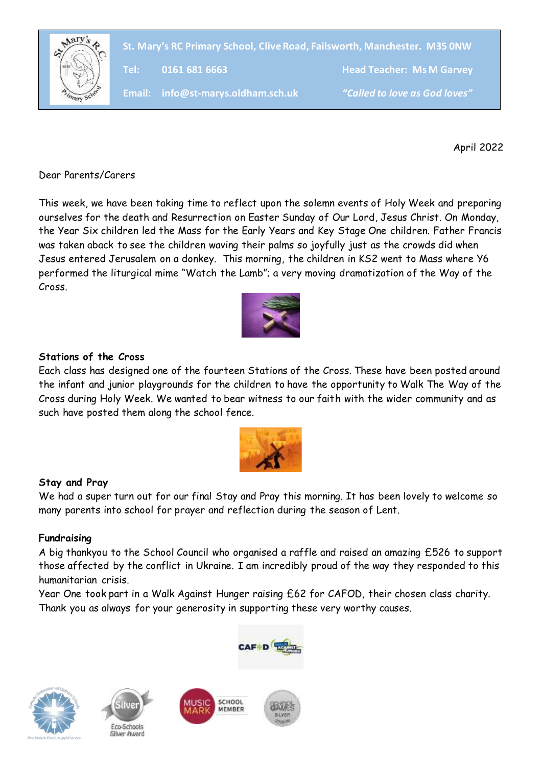

**St. Mary's RC Primary School, Clive Road, Failsworth, Manchester. M35 0NW**

**Tel: 0161 681 6663 Head Teacher: Ms M Garvey**

**Email: info@st-marys.oldham.sch.uk** *"Called to love as God loves"*

April 2022

Dear Parents/Carers

This week, we have been taking time to reflect upon the solemn events of Holy Week and preparing ourselves for the death and Resurrection on Easter Sunday of Our Lord, Jesus Christ. On Monday, the Year Six children led the Mass for the Early Years and Key Stage One children. Father Francis was taken aback to see the children waving their palms so joyfully just as the crowds did when Jesus entered Jerusalem on a donkey. This morning, the children in KS2 went to Mass where Y6 performed the liturgical mime "Watch the Lamb"; a very moving dramatization of the Way of the Cross.



# **Stations of the Cross**

Each class has designed one of the fourteen Stations of the Cross. These have been posted around the infant and junior playgrounds for the children to have the opportunity to Walk The Way of the Cross during Holy Week. We wanted to bear witness to our faith with the wider community and as such have posted them along the school fence.



# **Stay and Pray**

We had a super turn out for our final Stay and Pray this morning. It has been lovely to welcome so many parents into school for prayer and reflection during the season of Lent.

#### **Fundraising**

A big thankyou to the School Council who organised a raffle and raised an amazing £526 to support those affected by the conflict in Ukraine. I am incredibly proud of the way they responded to this humanitarian crisis.

Year One took part in a Walk Against Hunger raising £62 for CAFOD, their chosen class charity. Thank you as always for your generosity in supporting these very worthy causes.